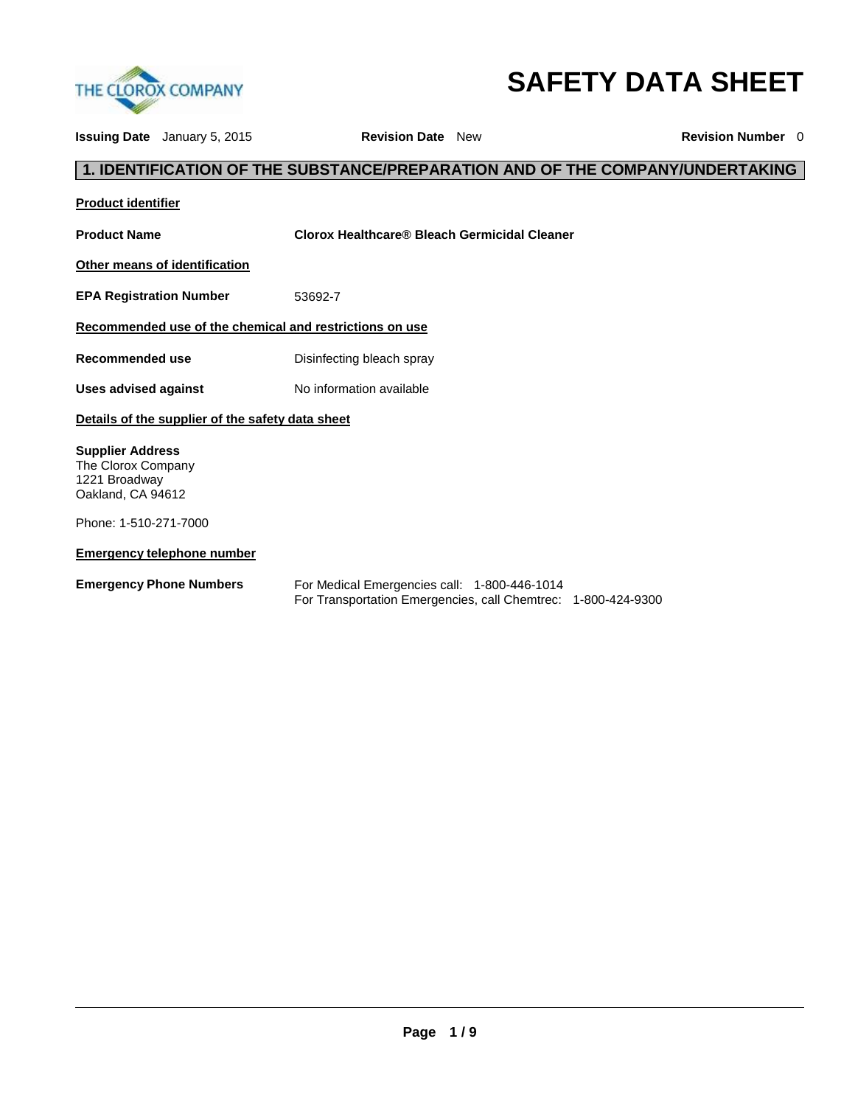

# **SAFETY DATA SHEET**

**Issuing Date** January 5, 2015 **Revision Date** New **Revision Number** 0

## **1. IDENTIFICATION OF THE SUBSTANCE/PREPARATION AND OF THE COMPANY/UNDERTAKING**

**Product identifier**

**Product Name Clorox Healthcare® Bleach Germicidal Cleaner**

**Other means of identification**

**EPA Registration Number** 53692-7

#### **Recommended use of the chemical and restrictions on use**

**Recommended use Disinfecting bleach spray** 

Uses advised against **No information available** 

#### **Details of the supplier of the safety data sheet**

**Supplier Address** The Clorox Company 1221 Broadway Oakland, CA 94612

Phone: 1-510-271-7000

#### **Emergency telephone number**

| <b>Emergency Phone Numbers</b> |  |  |
|--------------------------------|--|--|
|--------------------------------|--|--|

For Medical Emergencies call: 1-800-446-1014 For Transportation Emergencies, call Chemtrec: 1-800-424-9300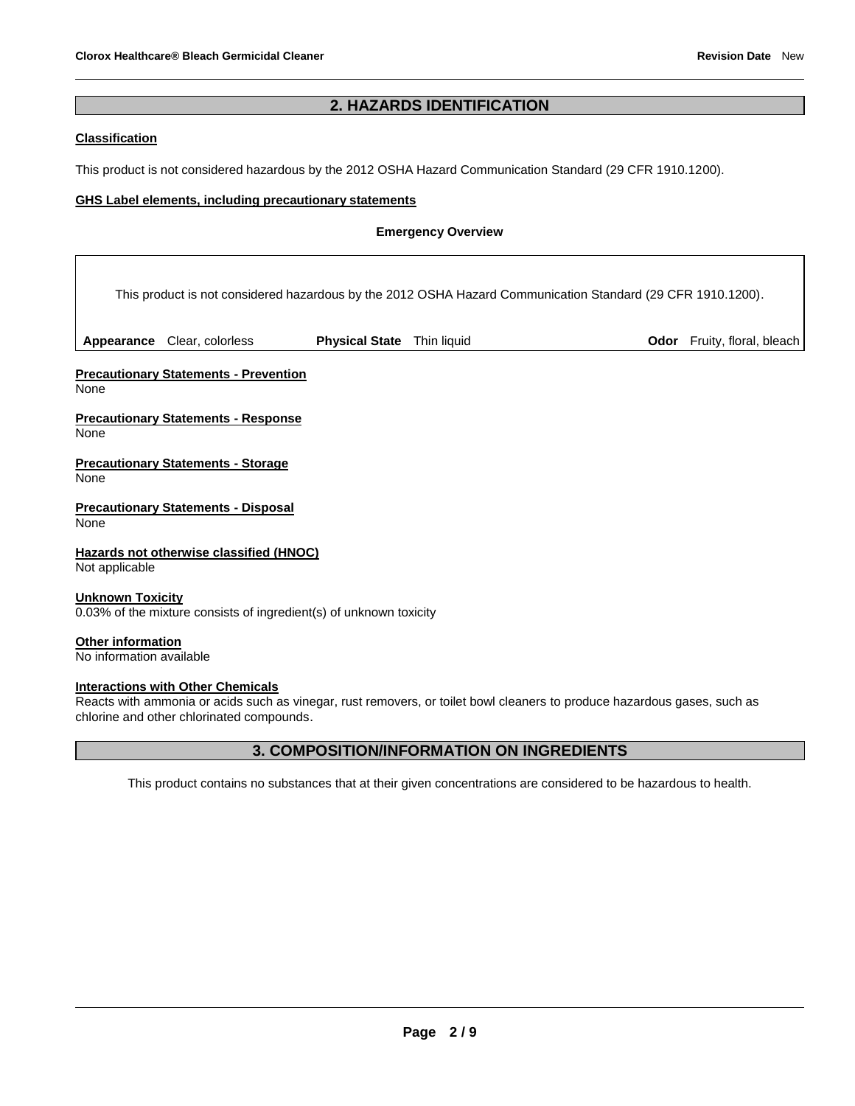## **2. HAZARDS IDENTIFICATION**

#### **Classification**

This product is not considered hazardous by the 2012 OSHA Hazard Communication Standard (29 CFR 1910.1200).

#### **GHS Label elements, including precautionary statements**

#### **Emergency Overview**

This product is not considered hazardous by the 2012 OSHA Hazard Communication Standard (29 CFR 1910.1200).

Appearance Clear, colorless **Physical State** Thin liquid **Physical State 11 and** *D***dor** Fruity, floral, bleach

**Precautionary Statements - Prevention** None

**Precautionary Statements - Response** None

**Precautionary Statements - Storage** None

**Precautionary Statements - Disposal** None

**Hazards not otherwise classified (HNOC)** Not applicable

**Unknown Toxicity**

0.03% of the mixture consists of ingredient(s) of unknown toxicity

**Other information** No information available

**Interactions with Other Chemicals**

Reacts with ammonia or acids such as vinegar, rust removers, or toilet bowl cleaners to produce hazardous gases, such as chlorine and other chlorinated compounds.

#### **3. COMPOSITION/INFORMATION ON INGREDIENTS**

This product contains no substances that at their given concentrations are considered to be hazardous to health.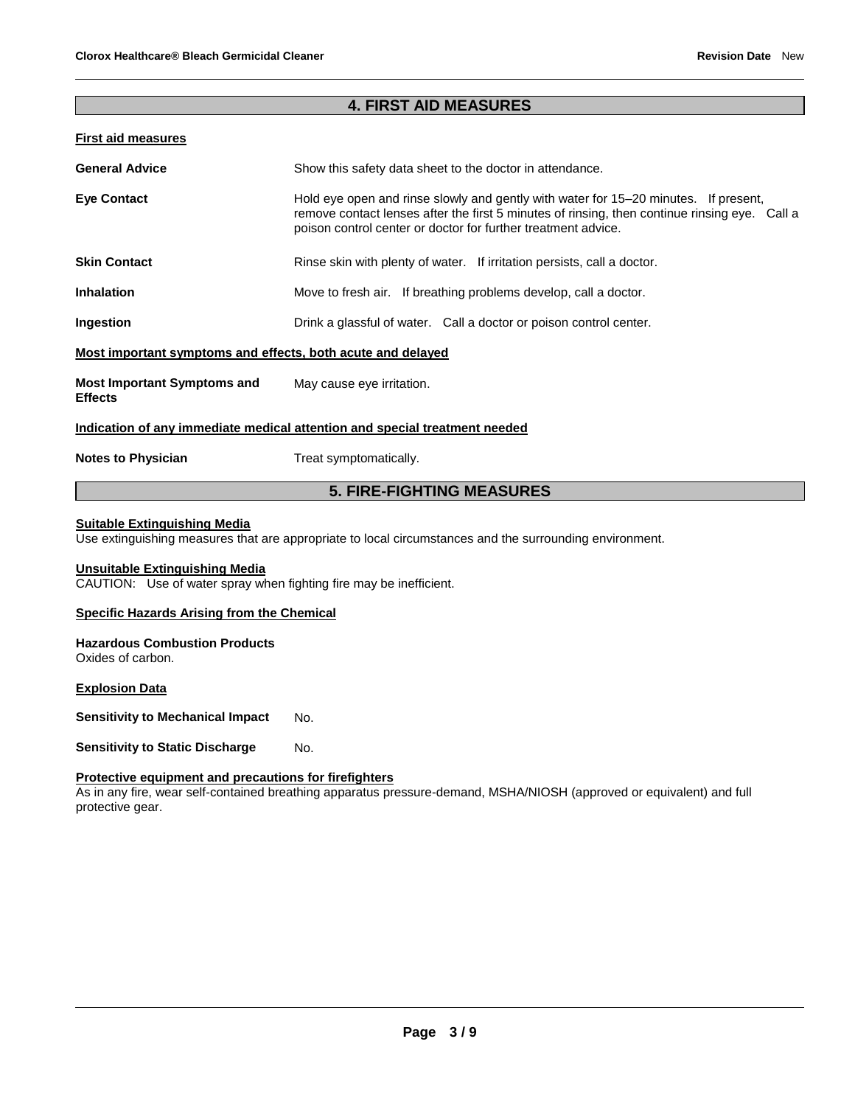## **4. FIRST AID MEASURES**

#### **First aid measures**

| <b>General Advice</b>                                       | Show this safety data sheet to the doctor in attendance.                                                                                                                                                                                              |  |
|-------------------------------------------------------------|-------------------------------------------------------------------------------------------------------------------------------------------------------------------------------------------------------------------------------------------------------|--|
| <b>Eye Contact</b>                                          | Hold eye open and rinse slowly and gently with water for 15–20 minutes. If present,<br>remove contact lenses after the first 5 minutes of rinsing, then continue rinsing eye. Call a<br>poison control center or doctor for further treatment advice. |  |
| <b>Skin Contact</b>                                         | Rinse skin with plenty of water. If irritation persists, call a doctor.                                                                                                                                                                               |  |
| <b>Inhalation</b>                                           | Move to fresh air. If breathing problems develop, call a doctor.                                                                                                                                                                                      |  |
| Ingestion                                                   | Drink a glassful of water. Call a doctor or poison control center.                                                                                                                                                                                    |  |
| Most important symptoms and effects, both acute and delayed |                                                                                                                                                                                                                                                       |  |
| <b>Most Important Symptoms and</b><br><b>Effects</b>        | May cause eye irritation.                                                                                                                                                                                                                             |  |
|                                                             | Indication of any immediate medical attention and special treatment needed                                                                                                                                                                            |  |
| <b>Notes to Physician</b>                                   | Treat symptomatically.                                                                                                                                                                                                                                |  |

## **5. FIRE-FIGHTING MEASURES**

#### **Suitable Extinguishing Media**

Use extinguishing measures that are appropriate to local circumstances and the surrounding environment.

#### **Unsuitable Extinguishing Media**

CAUTION: Use of water spray when fighting fire may be inefficient.

#### **Specific Hazards Arising from the Chemical**

#### **Hazardous Combustion Products** Oxides of carbon.

## **Explosion Data**

**Sensitivity to Mechanical Impact No.** 

**Sensitivity to Static Discharge Mo.** 

#### **Protective equipment and precautions for firefighters**

As in any fire, wear self-contained breathing apparatus pressure-demand, MSHA/NIOSH (approved or equivalent) and full protective gear.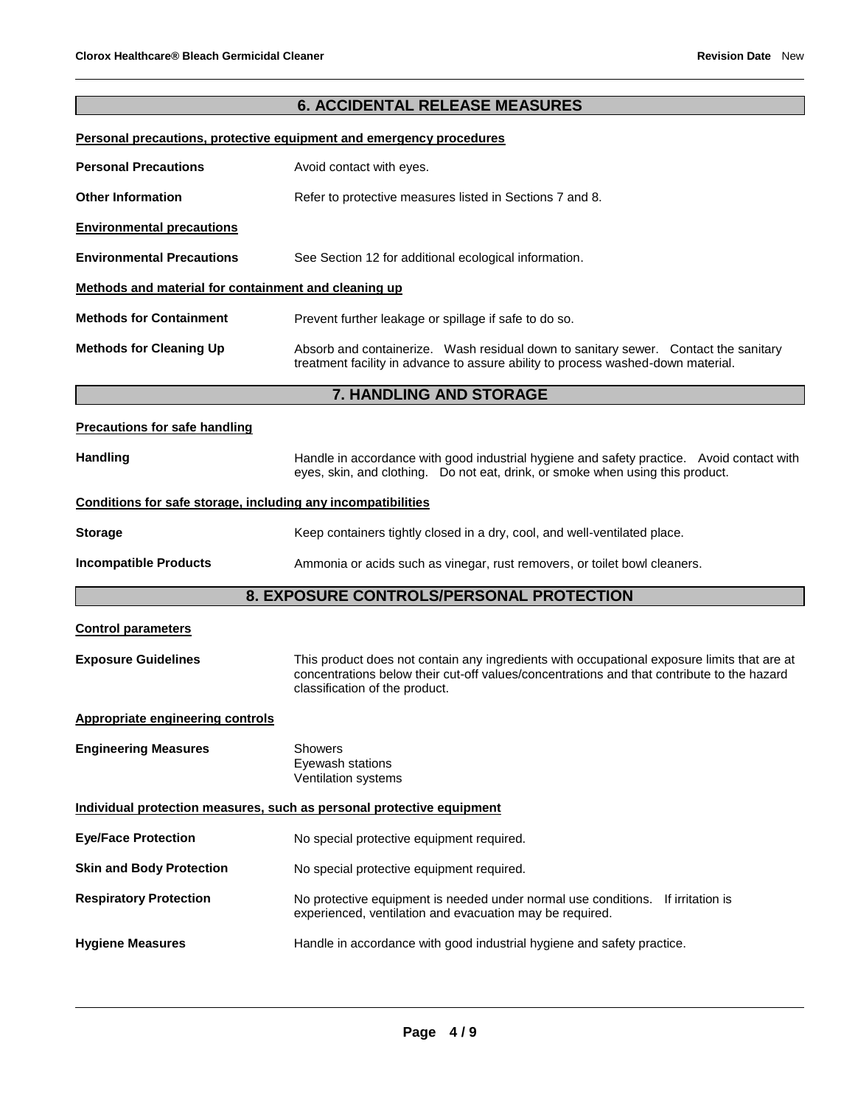## **6. ACCIDENTAL RELEASE MEASURES**

## **Personal precautions, protective equipment and emergency procedures**

| <b>Personal Precautions</b>                                  | Avoid contact with eyes.                                                                                                                                                    |  |  |
|--------------------------------------------------------------|-----------------------------------------------------------------------------------------------------------------------------------------------------------------------------|--|--|
| <b>Other Information</b>                                     | Refer to protective measures listed in Sections 7 and 8.                                                                                                                    |  |  |
| <b>Environmental precautions</b>                             |                                                                                                                                                                             |  |  |
| <b>Environmental Precautions</b>                             | See Section 12 for additional ecological information.                                                                                                                       |  |  |
| Methods and material for containment and cleaning up         |                                                                                                                                                                             |  |  |
| <b>Methods for Containment</b>                               | Prevent further leakage or spillage if safe to do so.                                                                                                                       |  |  |
| <b>Methods for Cleaning Up</b>                               | Absorb and containerize. Wash residual down to sanitary sewer. Contact the sanitary<br>treatment facility in advance to assure ability to process washed-down material.     |  |  |
|                                                              | <b>7. HANDLING AND STORAGE</b>                                                                                                                                              |  |  |
| <b>Precautions for safe handling</b>                         |                                                                                                                                                                             |  |  |
| <b>Handling</b>                                              | Handle in accordance with good industrial hygiene and safety practice. Avoid contact with<br>eyes, skin, and clothing. Do not eat, drink, or smoke when using this product. |  |  |
| Conditions for safe storage, including any incompatibilities |                                                                                                                                                                             |  |  |

## **Storage Keep containers tightly closed in a dry, cool, and well-ventilated place.**

#### **Incompatible Products** Ammonia or acids such as vinegar, rust removers, or toilet bowl cleaners.

## **8. EXPOSURE CONTROLS/PERSONAL PROTECTION**

| <b>Control parameters</b>                                             |                                                                                                                                                                                                                             |
|-----------------------------------------------------------------------|-----------------------------------------------------------------------------------------------------------------------------------------------------------------------------------------------------------------------------|
| <b>Exposure Guidelines</b>                                            | This product does not contain any ingredients with occupational exposure limits that are at<br>concentrations below their cut-off values/concentrations and that contribute to the hazard<br>classification of the product. |
| <b>Appropriate engineering controls</b>                               |                                                                                                                                                                                                                             |
| <b>Engineering Measures</b>                                           | <b>Showers</b><br>Eyewash stations<br>Ventilation systems                                                                                                                                                                   |
| Individual protection measures, such as personal protective equipment |                                                                                                                                                                                                                             |
| <b>Eye/Face Protection</b>                                            | No special protective equipment required.                                                                                                                                                                                   |
| <b>Skin and Body Protection</b>                                       | No special protective equipment required.                                                                                                                                                                                   |
| <b>Respiratory Protection</b>                                         | No protective equipment is needed under normal use conditions. If irritation is<br>experienced, ventilation and evacuation may be required.                                                                                 |
| <b>Hygiene Measures</b>                                               | Handle in accordance with good industrial hygiene and safety practice.                                                                                                                                                      |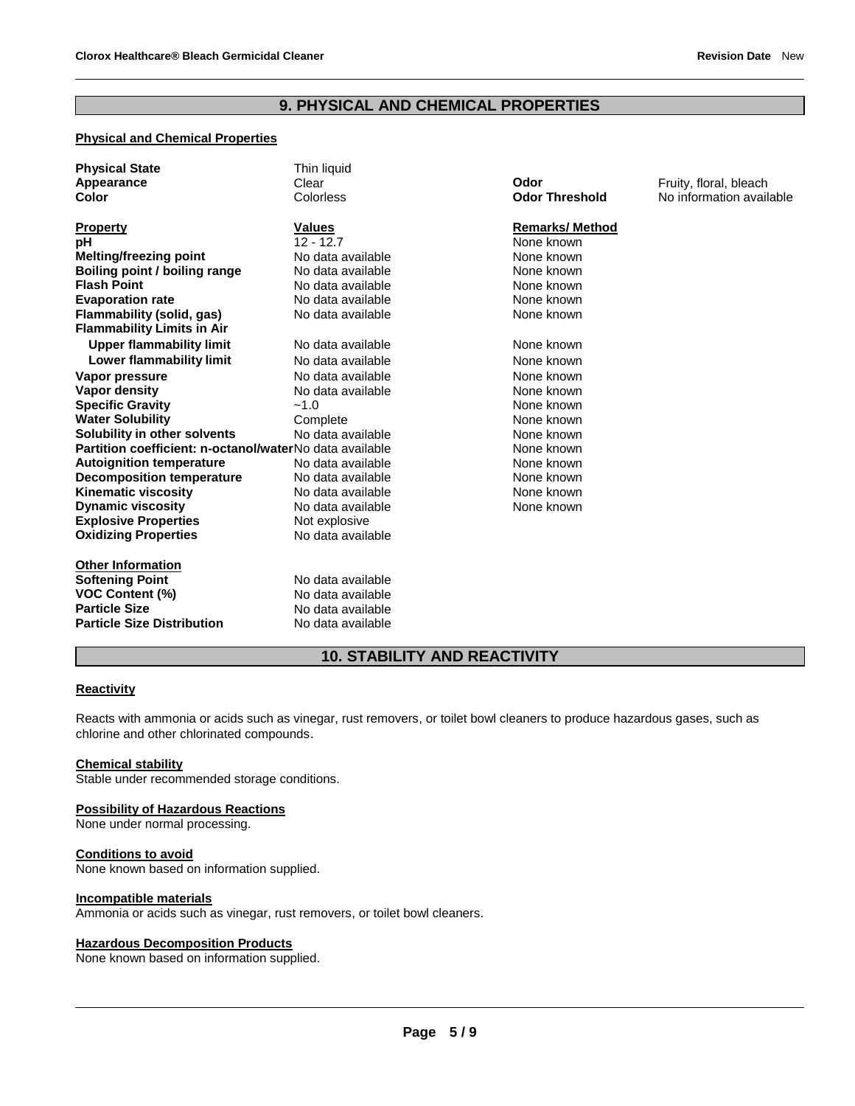## **9. PHYSICAL AND CHEMICAL PROPERTIES**

## **Physical and Chemical Properties**

| <b>Physical State</b><br>Appearance<br>Color            | Thin liquid<br>Clear<br>Colorless | Odor<br><b>Odor Threshold</b> | Fruity, floral, bleach<br>No information available |
|---------------------------------------------------------|-----------------------------------|-------------------------------|----------------------------------------------------|
| <b>Property</b>                                         | <b>Values</b>                     | <b>Remarks/Method</b>         |                                                    |
| рH                                                      | $12 - 12.7$                       | None known                    |                                                    |
| Melting/freezing point                                  | No data available                 | None known                    |                                                    |
| Boiling point / boiling range                           | No data available                 | None known                    |                                                    |
| <b>Flash Point</b>                                      | No data available                 | None known                    |                                                    |
| <b>Evaporation rate</b>                                 | No data available                 | None known                    |                                                    |
| Flammability (solid, gas)                               | No data available                 | None known                    |                                                    |
| <b>Flammability Limits in Air</b>                       |                                   |                               |                                                    |
| <b>Upper flammability limit</b>                         | No data available                 | None known                    |                                                    |
| Lower flammability limit                                | No data available                 | None known                    |                                                    |
| Vapor pressure                                          | No data available                 | None known                    |                                                    |
| <b>Vapor density</b>                                    | No data available                 | None known                    |                                                    |
| <b>Specific Gravity</b>                                 | $-1.0$                            | None known                    |                                                    |
| <b>Water Solubility</b>                                 | Complete                          | None known                    |                                                    |
| Solubility in other solvents                            | No data available                 | None known                    |                                                    |
| Partition coefficient: n-octanol/waterNo data available |                                   | None known                    |                                                    |
| <b>Autoignition temperature</b>                         | No data available                 | None known                    |                                                    |
| <b>Decomposition temperature</b>                        | No data available                 | None known                    |                                                    |
| <b>Kinematic viscosity</b>                              | No data available                 | None known                    |                                                    |
| <b>Dynamic viscosity</b>                                | No data available                 | None known                    |                                                    |
| <b>Explosive Properties</b>                             | Not explosive                     |                               |                                                    |
| <b>Oxidizing Properties</b>                             | No data available                 |                               |                                                    |
| <b>Other Information</b>                                |                                   |                               |                                                    |
| <b>Softening Point</b>                                  | No data available                 |                               |                                                    |
| <b>VOC Content (%)</b>                                  | No data available                 |                               |                                                    |
| <b>Particle Size</b>                                    | No data available                 |                               |                                                    |
| <b>Particle Size Distribution</b>                       | No data available                 |                               |                                                    |

## **10. STABILITY AND REACTIVITY**

#### **Reactivity**

Reacts with ammonia or acids such as vinegar, rust removers, or toilet bowl cleaners to produce hazardous gases, such as chlorine and other chlorinated compounds.

#### **Chemical stability**

Stable under recommended storage conditions.

#### **Possibility of Hazardous Reactions**

None under normal processing.

#### **Conditions to avoid**

None known based on information supplied.

#### **Incompatible materials**

Ammonia or acids such as vinegar, rust removers, or toilet bowl cleaners.

#### **Hazardous Decomposition Products**

None known based on information supplied.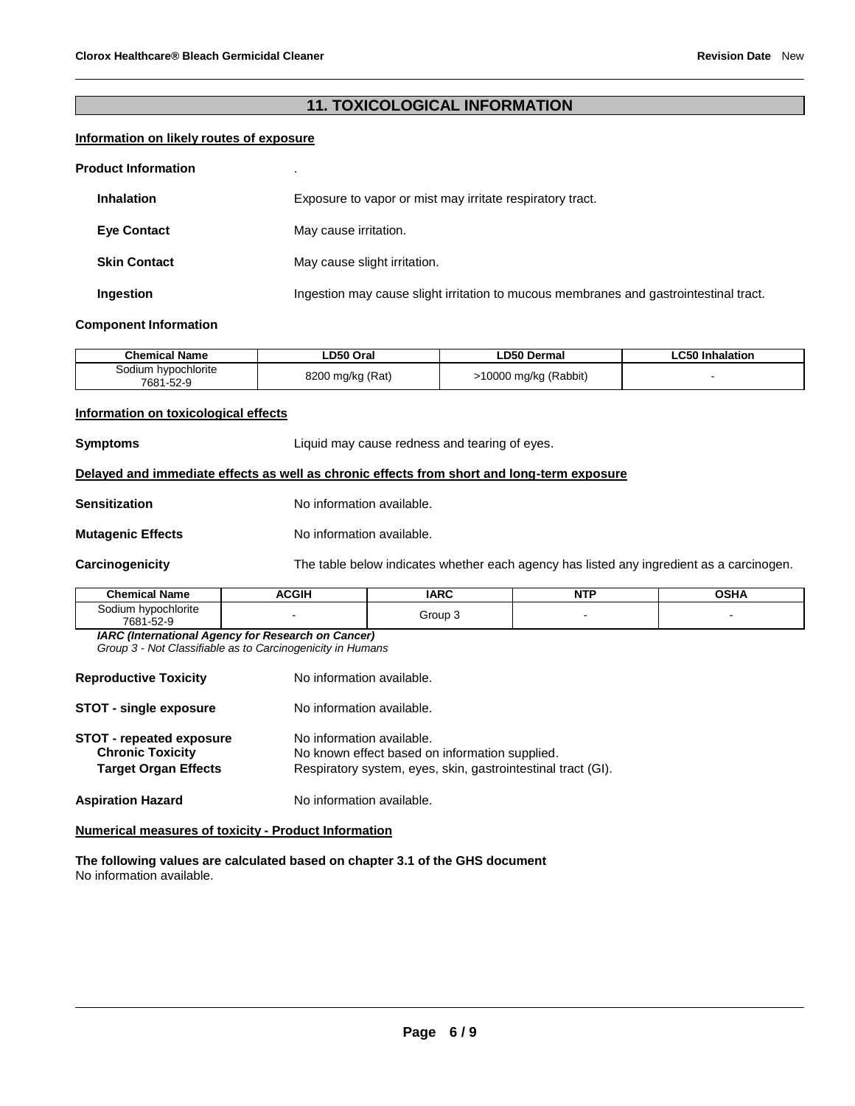## **11. TOXICOLOGICAL INFORMATION**

## **Information on likely routes of exposure**

#### **Product Information** .

| <b>Inhalation</b>   | Exposure to vapor or mist may irritate respiratory tract.                             |
|---------------------|---------------------------------------------------------------------------------------|
| <b>Eve Contact</b>  | May cause irritation.                                                                 |
| <b>Skin Contact</b> | May cause slight irritation.                                                          |
| Ingestion           | Ingestion may cause slight irritation to mucous membranes and gastrointestinal tract. |

#### **Component Information**

| <b>Chemical Name</b>             | ∟D50 Oral        | <b>LD50 Dermal</b>    | ∟C50 Inhalation |
|----------------------------------|------------------|-----------------------|-----------------|
| Sodium hypochlorite<br>7681-52-9 | 8200 mg/kg (Rat) | -10000 mg/kg (Rabbit) |                 |

#### **Information on toxicological effects**

| <b>Symptoms</b>          | Liquid may cause redness and tearing of eyes.                                              |  |
|--------------------------|--------------------------------------------------------------------------------------------|--|
|                          | Delayed and immediate effects as well as chronic effects from short and long-term exposure |  |
| <b>Sensitization</b>     | No information available.                                                                  |  |
| <b>Mutagenic Effects</b> | No information available.                                                                  |  |
| Carcinogenicity          | The table below indicates whether each agency has listed any ingredient as a carcinogen.   |  |

| <b>Chemical Name</b>                | <b>ACGIH</b> | <b>IARC</b> | <b>NTF</b> | OSHA |
|-------------------------------------|--------------|-------------|------------|------|
| hypochlorite<br>30dium<br>7681-52-9 |              | Group 3     |            |      |

*IARC (International Agency for Research on Cancer)*

*Group 3 - Not Classifiable as to Carcinogenicity in Humans* 

| <b>Reproductive Toxicity</b>                                                              | No information available.                                                                                                                   |
|-------------------------------------------------------------------------------------------|---------------------------------------------------------------------------------------------------------------------------------------------|
| <b>STOT - single exposure</b>                                                             | No information available.                                                                                                                   |
| <b>STOT - repeated exposure</b><br><b>Chronic Toxicity</b><br><b>Target Organ Effects</b> | No information available.<br>No known effect based on information supplied.<br>Respiratory system, eyes, skin, gastrointestinal tract (GI). |
| <b>Aspiration Hazard</b>                                                                  | No information available.                                                                                                                   |

#### **Numerical measures of toxicity - Product Information**

**The following values are calculated based on chapter 3.1 of the GHS document** No information available.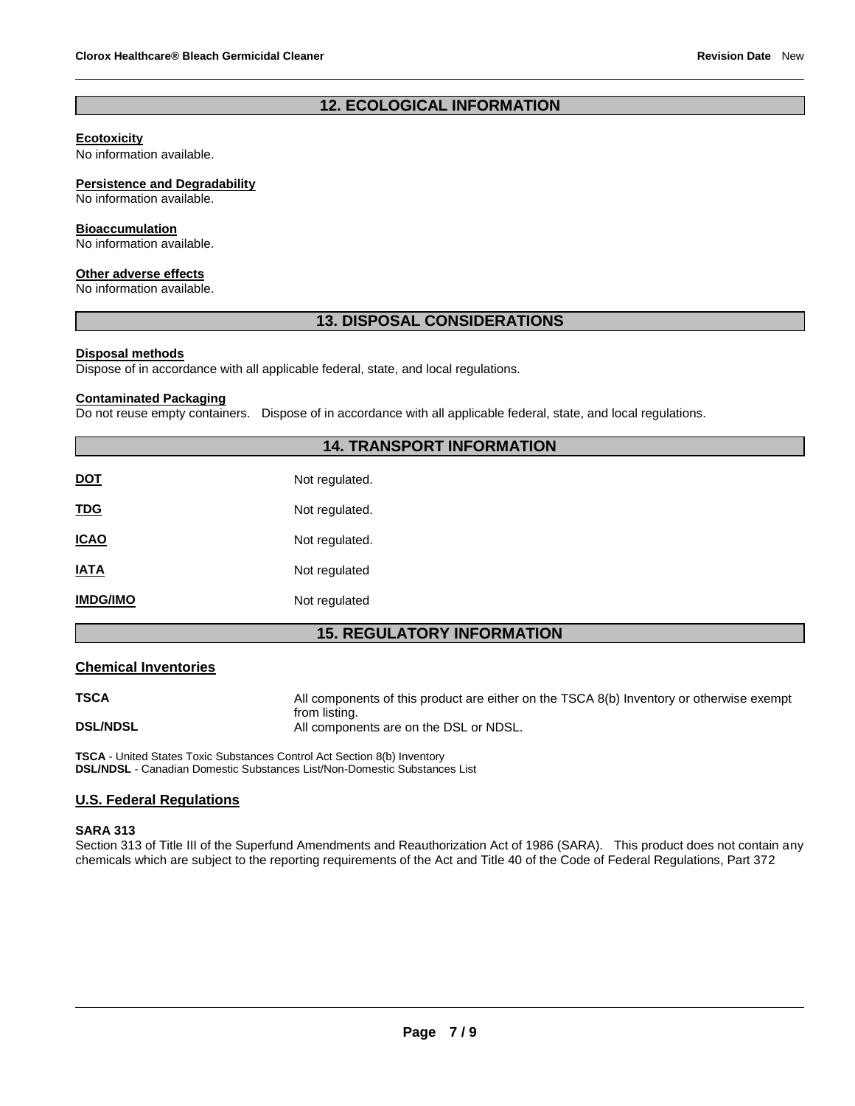## **12. ECOLOGICAL INFORMATION**

#### **Ecotoxicity**

No information available.

#### **Persistence and Degradability**

No information available.

#### **Bioaccumulation**

No information available.

#### **Other adverse effects**

No information available.

#### **13. DISPOSAL CONSIDERATIONS**

#### **Disposal methods**

Dispose of in accordance with all applicable federal, state, and local regulations.

#### **Contaminated Packaging**

Do not reuse empty containers. Dispose of in accordance with all applicable federal, state, and local regulations.

## **14. TRANSPORT INFORMATION**

| <b>DOT</b>      | Not regulated. |
|-----------------|----------------|
| <u>TDG</u>      | Not regulated. |
| <b>ICAO</b>     | Not regulated. |
| <b>IATA</b>     | Not regulated  |
| <b>IMDG/IMO</b> | Not regulated  |

## **15. REGULATORY INFORMATION**

#### **Chemical Inventories**

**TSCA All components of this product are either on the TSCA 8(b) Inventory or otherwise exempt** from listing. **DSL/NDSL All components are on the DSL or NDSL.** 

**TSCA** - United States Toxic Substances Control Act Section 8(b) Inventory **DSL/NDSL** - Canadian Domestic Substances List/Non-Domestic Substances List

#### **U.S. Federal Regulations**

#### **SARA 313**

Section 313 of Title III of the Superfund Amendments and Reauthorization Act of 1986 (SARA). This product does not contain any chemicals which are subject to the reporting requirements of the Act and Title 40 of the Code of Federal Regulations, Part 372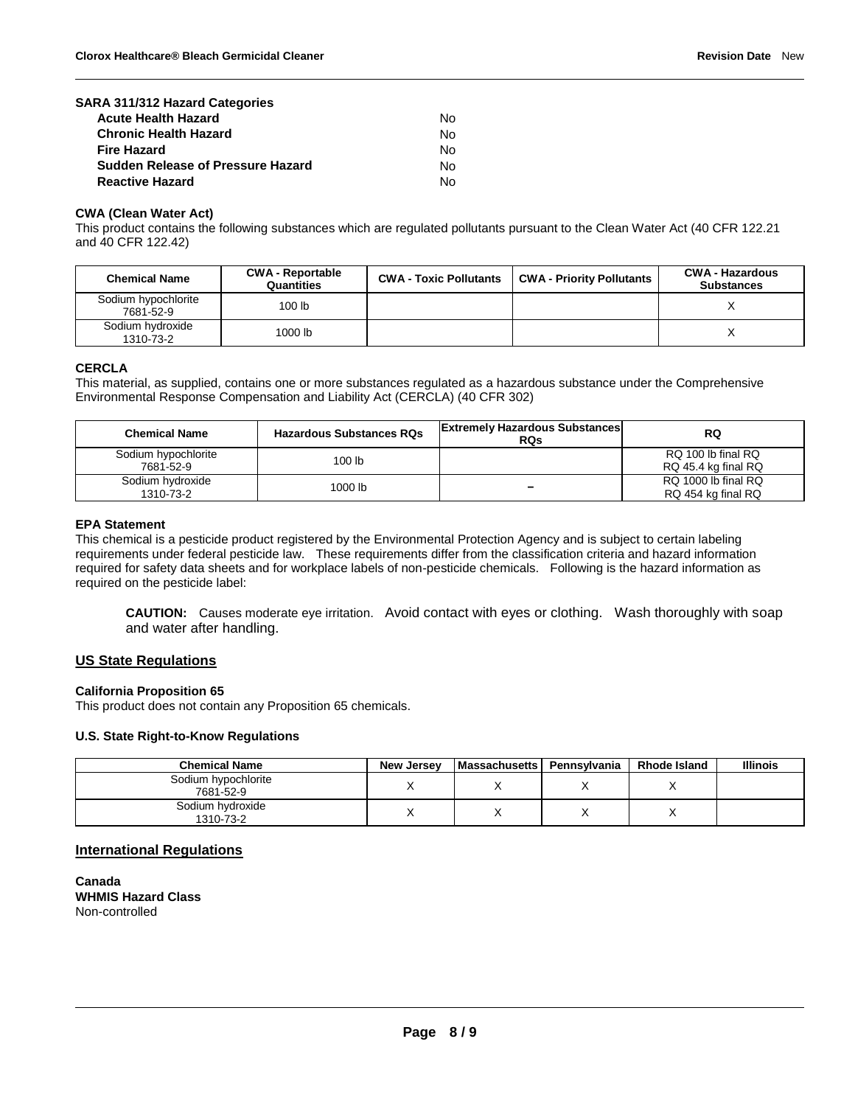| SARA 311/312 Hazard Categories           |    |
|------------------------------------------|----|
| <b>Acute Health Hazard</b>               | N٥ |
| <b>Chronic Health Hazard</b>             | N٥ |
| <b>Fire Hazard</b>                       | N٥ |
| <b>Sudden Release of Pressure Hazard</b> | N٥ |
| <b>Reactive Hazard</b>                   | N٥ |

#### **CWA (Clean Water Act)**

This product contains the following substances which are regulated pollutants pursuant to the Clean Water Act (40 CFR 122.21 and 40 CFR 122.42)

| <b>Chemical Name</b>             | <b>CWA - Reportable</b><br>Quantities | <b>CWA - Toxic Pollutants</b> | <b>CWA - Priority Pollutants</b> | <b>CWA - Hazardous</b><br><b>Substances</b> |
|----------------------------------|---------------------------------------|-------------------------------|----------------------------------|---------------------------------------------|
| Sodium hypochlorite<br>7681-52-9 | 100 <sub>lb</sub>                     |                               |                                  |                                             |
| Sodium hydroxide<br>1310-73-2    | 1000 lb                               |                               |                                  |                                             |

#### **CERCLA**

This material, as supplied, contains one or more substances regulated as a hazardous substance under the Comprehensive Environmental Response Compensation and Liability Act (CERCLA) (40 CFR 302)

| <b>Chemical Name</b>             | <b>Hazardous Substances RQs</b> | <b>Extremely Hazardous Substances</b><br><b>RQs</b> | RQ                                        |
|----------------------------------|---------------------------------|-----------------------------------------------------|-------------------------------------------|
| Sodium hypochlorite<br>7681-52-9 | 100 <sub>lb</sub>               |                                                     | RQ 100 lb final RQ<br>RQ 45.4 kg final RQ |
| Sodium hydroxide<br>1310-73-2    | 1000 lb                         | -                                                   | RQ 1000 lb final RQ<br>RQ 454 kg final RQ |

#### **EPA Statement**

This chemical is a pesticide product registered by the Environmental Protection Agency and is subject to certain labeling requirements under federal pesticide law. These requirements differ from the classification criteria and hazard information required for safety data sheets and for workplace labels of non-pesticide chemicals. Following is the hazard information as required on the pesticide label:

**CAUTION:** Causes moderate eye irritation. Avoid contact with eyes or clothing. Wash thoroughly with soap and water after handling.

#### **US State Regulations**

#### **California Proposition 65**

This product does not contain any Proposition 65 chemicals.

#### **U.S. State Right-to-Know Regulations**

| <b>Chemical Name</b>             | New Jersey | <b>Massachusetts</b> | Pennsvlvania | <b>Rhode Island</b> | <b>Illinois</b> |
|----------------------------------|------------|----------------------|--------------|---------------------|-----------------|
| Sodium hypochlorite<br>7681-52-9 |            |                      |              |                     |                 |
| Sodium hydroxide<br>1310-73-2    |            |                      |              |                     |                 |

#### **International Regulations**

**Canada WHMIS Hazard Class** Non-controlled